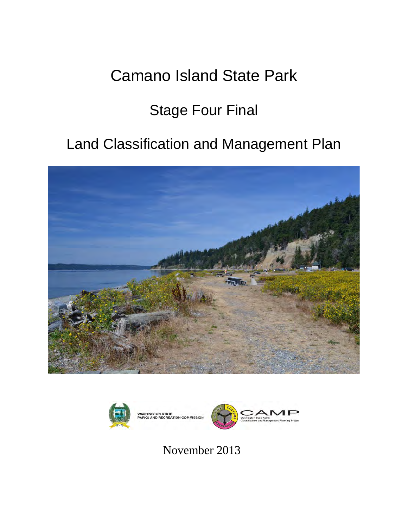# Camano Island State Park

# Stage Four Final

# Land Classification and Management Plan





November 2013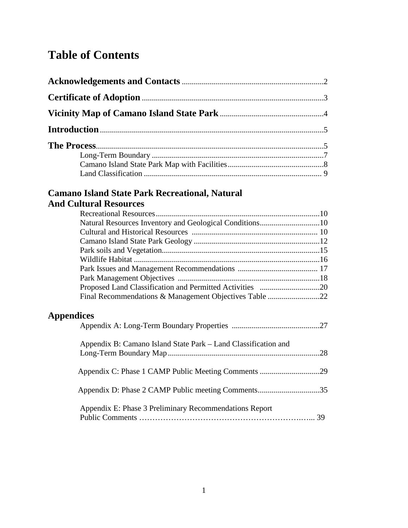# **Table of Contents**

# **Camano Island State Park Recreational, Natural**

## **And Cultural Resources**

| Natural Resources Inventory and Geological Conditions10                             |  |
|-------------------------------------------------------------------------------------|--|
|                                                                                     |  |
|                                                                                     |  |
|                                                                                     |  |
|                                                                                     |  |
|                                                                                     |  |
|                                                                                     |  |
|                                                                                     |  |
|                                                                                     |  |
| <b>Appendices</b><br>Appendix B: Camano Island State Park – Land Classification and |  |
|                                                                                     |  |
|                                                                                     |  |
|                                                                                     |  |
| Appendix D: Phase 2 CAMP Public meeting Comments35                                  |  |
| Appendix E: Phase 3 Preliminary Recommendations Report                              |  |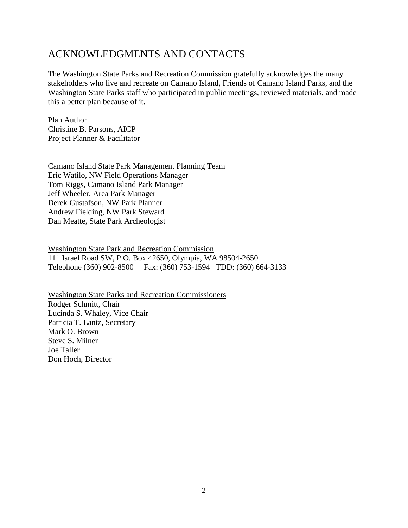## ACKNOWLEDGMENTS AND CONTACTS

The Washington State Parks and Recreation Commission gratefully acknowledges the many stakeholders who live and recreate on Camano Island, Friends of Camano Island Parks, and the Washington State Parks staff who participated in public meetings, reviewed materials, and made this a better plan because of it.

Plan Author Christine B. Parsons, AICP Project Planner & Facilitator

Camano Island State Park Management Planning Team Eric Watilo, NW Field Operations Manager Tom Riggs, Camano Island Park Manager Jeff Wheeler, Area Park Manager Derek Gustafson, NW Park Planner Andrew Fielding, NW Park Steward Dan Meatte, State Park Archeologist

Washington State Park and Recreation Commission 111 Israel Road SW, P.O. Box 42650, Olympia, WA 98504-2650 Telephone (360) 902-8500 Fax: (360) 753-1594 TDD: (360) 664-3133

Washington State Parks and Recreation Commissioners Rodger Schmitt, Chair Lucinda S. Whaley, Vice Chair Patricia T. Lantz, Secretary Mark O. Brown Steve S. Milner Joe Taller Don Hoch, Director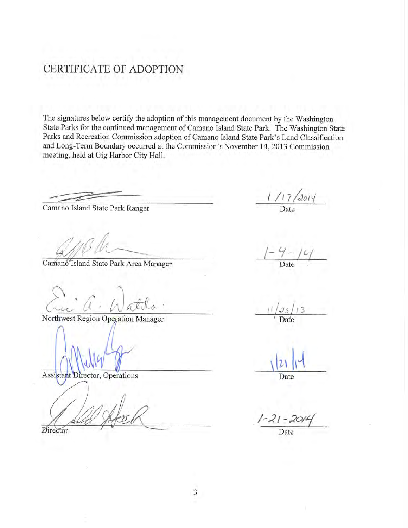# **CERTIFICATE OF ADOPTION**

The signatures below certify the adoption of this management document by the Washington State Parks for the continued management of Camano Island State Park. The Washington State Parks and Recreation Commission adoption of Camano Island State Park's Land Classification and Long-Term Boundary occurred at the Commission's November 14, 2013 Commission meeting, held at Gig Harbor City Hall.

Camano Island State Park Ranger

Camano Island State Park Area Manager

Northwest Region Operation Manager

Assistant Director, Operations

Director

 $\frac{(17/2014)}{200}$ 

Date

Date

Date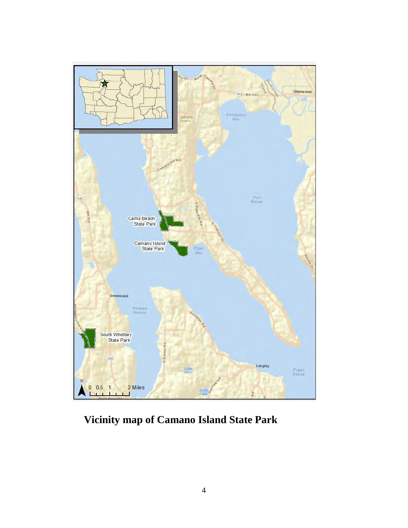

# **Vicinity map of Camano Island State Park**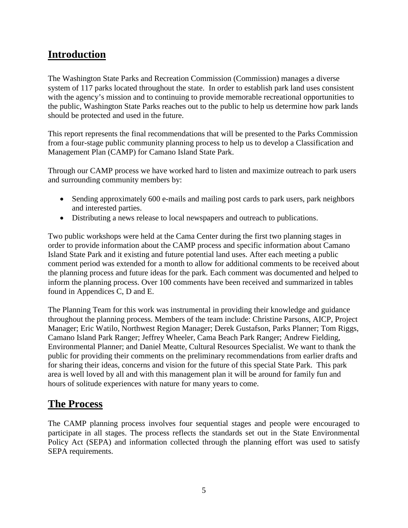# **Introduction**

The Washington State Parks and Recreation Commission (Commission) manages a diverse system of 117 parks located throughout the state. In order to establish park land uses consistent with the agency's mission and to continuing to provide memorable recreational opportunities to the public, Washington State Parks reaches out to the public to help us determine how park lands should be protected and used in the future.

This report represents the final recommendations that will be presented to the Parks Commission from a four-stage public community planning process to help us to develop a Classification and Management Plan (CAMP) for Camano Island State Park.

Through our CAMP process we have worked hard to listen and maximize outreach to park users and surrounding community members by:

- Sending approximately 600 e-mails and mailing post cards to park users, park neighbors and interested parties.
- Distributing a news release to local newspapers and outreach to publications.

Two public workshops were held at the Cama Center during the first two planning stages in order to provide information about the CAMP process and specific information about Camano Island State Park and it existing and future potential land uses. After each meeting a public comment period was extended for a month to allow for additional comments to be received about the planning process and future ideas for the park. Each comment was documented and helped to inform the planning process. Over 100 comments have been received and summarized in tables found in Appendices C, D and E.

The Planning Team for this work was instrumental in providing their knowledge and guidance throughout the planning process. Members of the team include: Christine Parsons, AICP, Project Manager; Eric Watilo, Northwest Region Manager; Derek Gustafson, Parks Planner; Tom Riggs, Camano Island Park Ranger; Jeffrey Wheeler, Cama Beach Park Ranger; Andrew Fielding, Environmental Planner; and Daniel Meatte, Cultural Resources Specialist. We want to thank the public for providing their comments on the preliminary recommendations from earlier drafts and for sharing their ideas, concerns and vision for the future of this special State Park. This park area is well loved by all and with this management plan it will be around for family fun and hours of solitude experiences with nature for many years to come.

## **The Process**

The CAMP planning process involves four sequential stages and people were encouraged to participate in all stages. The process reflects the standards set out in the State Environmental Policy Act (SEPA) and information collected through the planning effort was used to satisfy SEPA requirements.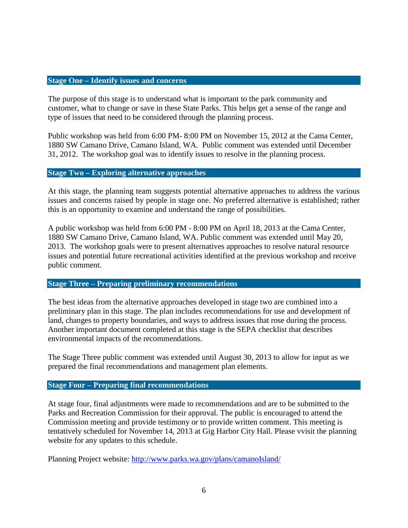#### **Stage One – Identify issues and concerns**

The purpose of this stage is to understand what is important to the park community and customer, what to change or save in these State Parks. This helps get a sense of the range and type of issues that need to be considered through the planning process.

Public workshop was held from 6:00 PM- 8:00 PM on November 15, 2012 at the Cama Center, 1880 SW Camano Drive, Camano Island, WA. Public comment was extended until December 31, 2012. The workshop goal was to identify issues to resolve in the planning process.

#### **Stage Two – Exploring alternative approaches**

At this stage, the planning team suggests potential alternative approaches to address the various issues and concerns raised by people in stage one. No preferred alternative is established; rather this is an opportunity to examine and understand the range of possibilities.

A public workshop was held from 6:00 PM - 8:00 PM on April 18, 2013 at the Cama Center, 1880 SW Camano Drive, Camano Island, WA. Public comment was extended until May 20, 2013. The workshop goals were to present alternatives approaches to resolve natural resource issues and potential future recreational activities identified at the previous workshop and receive public comment.

#### **Stage Three – Preparing preliminary recommendations**

The best ideas from the alternative approaches developed in stage two are combined into a preliminary plan in this stage. The plan includes recommendations for use and development of land, changes to property boundaries, and ways to address issues that rose during the process. Another important document completed at this stage is the SEPA checklist that describes environmental impacts of the recommendations.

The Stage Three public comment was extended until August 30, 2013 to allow for input as we prepared the final recommendations and management plan elements.

#### **Stage Four – Preparing final recommendations**

At stage four, final adjustments were made to recommendations and are to be submitted to the Parks and Recreation Commission for their approval. The public is encouraged to attend the Commission meeting and provide testimony or to provide written comment. This meeting is tentatively scheduled for November 14, 2013 at Gig Harbor City Hall. Please vvisit the planning website for any updates to this schedule.

Planning Project website:<http://www.parks.wa.gov/plans/camanoIsland/>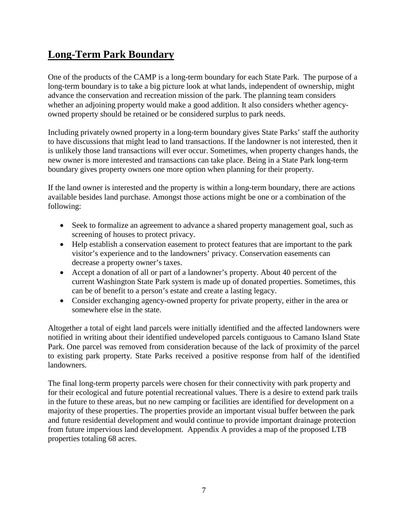# **Long-Term Park Boundary**

One of the products of the CAMP is a long-term boundary for each State Park. The purpose of a long-term boundary is to take a big picture look at what lands, independent of ownership, might advance the conservation and recreation mission of the park. The planning team considers whether an adjoining property would make a good addition. It also considers whether agencyowned property should be retained or be considered surplus to park needs.

Including privately owned property in a long-term boundary gives State Parks' staff the authority to have discussions that might lead to land transactions. If the landowner is not interested, then it is unlikely those land transactions will ever occur. Sometimes, when property changes hands, the new owner is more interested and transactions can take place. Being in a State Park long-term boundary gives property owners one more option when planning for their property.

If the land owner is interested and the property is within a long-term boundary, there are actions available besides land purchase. Amongst those actions might be one or a combination of the following:

- Seek to formalize an agreement to advance a shared property management goal, such as screening of houses to protect privacy.
- Help establish a conservation easement to protect features that are important to the park visitor's experience and to the landowners' privacy. Conservation easements can decrease a property owner's taxes.
- Accept a donation of all or part of a landowner's property. About 40 percent of the current Washington State Park system is made up of donated properties. Sometimes, this can be of benefit to a person's estate and create a lasting legacy.
- Consider exchanging agency-owned property for private property, either in the area or somewhere else in the state.

Altogether a total of eight land parcels were initially identified and the affected landowners were notified in writing about their identified undeveloped parcels contiguous to Camano Island State Park. One parcel was removed from consideration because of the lack of proximity of the parcel to existing park property. State Parks received a positive response from half of the identified landowners.

The final long-term property parcels were chosen for their connectivity with park property and for their ecological and future potential recreational values. There is a desire to extend park trails in the future to these areas, but no new camping or facilities are identified for development on a majority of these properties. The properties provide an important visual buffer between the park and future residential development and would continue to provide important drainage protection from future impervious land development. Appendix A provides a map of the proposed LTB properties totaling 68 acres.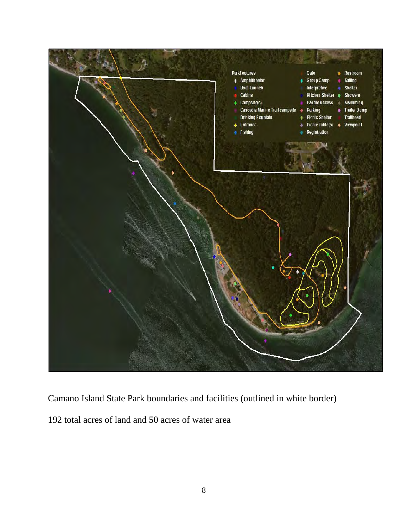

Camano Island State Park boundaries and facilities (outlined in white border) total acres of land and 50 acres of water area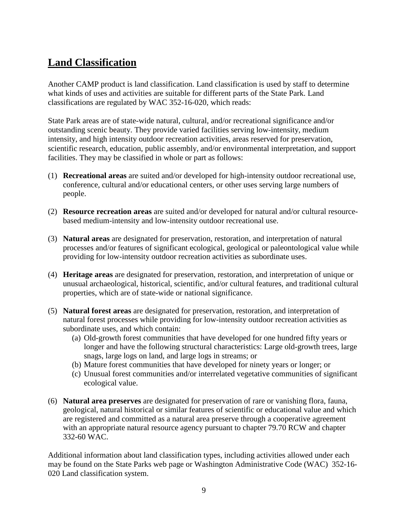# **Land Classification**

Another CAMP product is land classification. Land classification is used by staff to determine what kinds of uses and activities are suitable for different parts of the State Park. Land classifications are regulated by WAC 352-16-020, which reads:

State Park areas are of state-wide natural, cultural, and/or recreational significance and/or outstanding scenic beauty. They provide varied facilities serving low-intensity, medium intensity, and high intensity outdoor recreation activities, areas reserved for preservation, scientific research, education, public assembly, and/or environmental interpretation, and support facilities. They may be classified in whole or part as follows:

- (1) **Recreational areas** are suited and/or developed for high-intensity outdoor recreational use, conference, cultural and/or educational centers, or other uses serving large numbers of people.
- (2) **Resource recreation areas** are suited and/or developed for natural and/or cultural resourcebased medium-intensity and low-intensity outdoor recreational use.
- (3) **Natural areas** are designated for preservation, restoration, and interpretation of natural processes and/or features of significant ecological, geological or paleontological value while providing for low-intensity outdoor recreation activities as subordinate uses.
- (4) **Heritage areas** are designated for preservation, restoration, and interpretation of unique or unusual archaeological, historical, scientific, and/or cultural features, and traditional cultural properties, which are of state-wide or national significance.
- (5) **Natural forest areas** are designated for preservation, restoration, and interpretation of natural forest processes while providing for low-intensity outdoor recreation activities as subordinate uses, and which contain:
	- (a) Old-growth forest communities that have developed for one hundred fifty years or longer and have the following structural characteristics: Large old-growth trees, large snags, large logs on land, and large logs in streams; or
	- (b) Mature forest communities that have developed for ninety years or longer; or
	- (c) Unusual forest communities and/or interrelated vegetative communities of significant ecological value.
- (6) **Natural area preserves** are designated for preservation of rare or vanishing flora, fauna, geological, natural historical or similar features of scientific or educational value and which are registered and committed as a natural area preserve through a cooperative agreement with an appropriate natural resource agency pursuant to chapter 79.70 RCW and chapter 332-60 WAC.

Additional information about land classification types, including activities allowed under each may be found on the State Parks web page or Washington Administrative Code (WAC) 352-16- 020 Land classification system.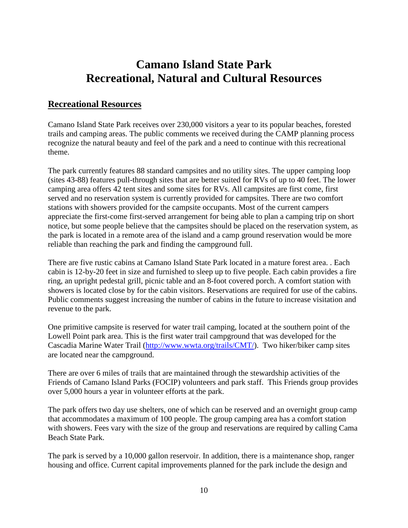# **Camano Island State Park Recreational, Natural and Cultural Resources**

#### **Recreational Resources**

Camano Island State Park receives over 230,000 visitors a year to its popular beaches, forested trails and camping areas. The public comments we received during the CAMP planning process recognize the natural beauty and feel of the park and a need to continue with this recreational theme.

The park currently features 88 standard campsites and no utility sites. The upper camping loop (sites 43-88) features pull-through sites that are better suited for RVs of up to 40 feet. The lower camping area offers 42 tent sites and some sites for RVs. All campsites are first come, first served and no reservation system is currently provided for campsites. There are two comfort stations with showers provided for the campsite occupants. Most of the current campers appreciate the first-come first-served arrangement for being able to plan a camping trip on short notice, but some people believe that the campsites should be placed on the reservation system, as the park is located in a remote area of the island and a camp ground reservation would be more reliable than reaching the park and finding the campground full.

There are five rustic cabins at Camano Island State Park located in a mature forest area. . Each cabin is 12-by-20 feet in size and furnished to sleep up to five people. Each cabin provides a fire ring, an upright pedestal grill, picnic table and an 8-foot covered porch. A comfort station with showers is located close by for the cabin visitors. Reservations are required for use of the cabins. Public comments suggest increasing the number of cabins in the future to increase visitation and revenue to the park.

One primitive campsite is reserved for water trail camping, located at the southern point of the Lowell Point park area. This is the first water trail campground that was developed for the Cascadia Marine Water Trail [\(http://www.wwta.org/trails/CMT/\)](http://www.wwta.org/trails/CMT/). Two hiker/biker camp sites are located near the campground.

There are over 6 miles of trails that are maintained through the stewardship activities of the Friends of Camano Island Parks (FOCIP) volunteers and park staff. This Friends group provides over 5,000 hours a year in volunteer efforts at the park.

The park offers two day use shelters, one of which can be reserved and an overnight group camp that accommodates a maximum of 100 people. The group camping area has a comfort station with showers. Fees vary with the size of the group and reservations are required by calling Cama Beach State Park.

The park is served by a 10,000 gallon reservoir. In addition, there is a maintenance shop, ranger housing and office. Current capital improvements planned for the park include the design and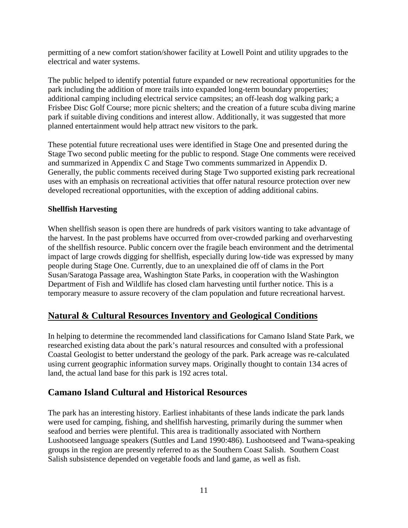permitting of a new comfort station/shower facility at Lowell Point and utility upgrades to the electrical and water systems.

The public helped to identify potential future expanded or new recreational opportunities for the park including the addition of more trails into expanded long-term boundary properties; additional camping including electrical service campsites; an off-leash dog walking park; a Frisbee Disc Golf Course; more picnic shelters; and the creation of a future scuba diving marine park if suitable diving conditions and interest allow. Additionally, it was suggested that more planned entertainment would help attract new visitors to the park.

These potential future recreational uses were identified in Stage One and presented during the Stage Two second public meeting for the public to respond. Stage One comments were received and summarized in Appendix C and Stage Two comments summarized in Appendix D. Generally, the public comments received during Stage Two supported existing park recreational uses with an emphasis on recreational activities that offer natural resource protection over new developed recreational opportunities, with the exception of adding additional cabins.

#### **Shellfish Harvesting**

When shellfish season is open there are hundreds of park visitors wanting to take advantage of the harvest. In the past problems have occurred from over-crowded parking and overharvesting of the shellfish resource. Public concern over the fragile beach environment and the detrimental impact of large crowds digging for shellfish, especially during low-tide was expressed by many people during Stage One. Currently, due to an unexplained die off of clams in the Port Susan/Saratoga Passage area, Washington State Parks, in cooperation with the Washington Department of Fish and Wildlife has closed clam harvesting until further notice. This is a temporary measure to assure recovery of the clam population and future recreational harvest.

#### **Natural & Cultural Resources Inventory and Geological Conditions**

In helping to determine the recommended land classifications for Camano Island State Park, we researched existing data about the park's natural resources and consulted with a professional Coastal Geologist to better understand the geology of the park. Park acreage was re-calculated using current geographic information survey maps. Originally thought to contain 134 acres of land, the actual land base for this park is 192 acres total.

#### **Camano Island Cultural and Historical Resources**

The park has an interesting history. Earliest inhabitants of these lands indicate the park lands were used for camping, fishing, and shellfish harvesting, primarily during the summer when seafood and berries were plentiful. This area is traditionally associated with Northern Lushootseed language speakers (Suttles and Land 1990:486). Lushootseed and Twana-speaking groups in the region are presently referred to as the Southern Coast Salish. Southern Coast Salish subsistence depended on vegetable foods and land game, as well as fish.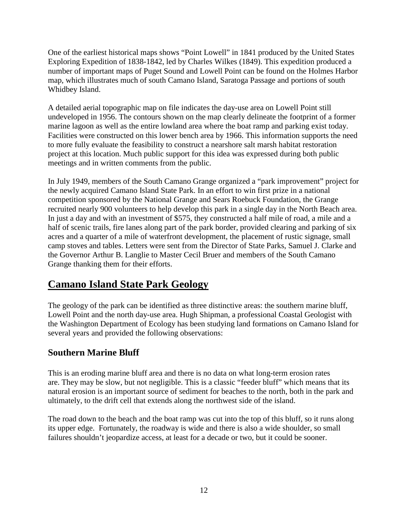One of the earliest historical maps shows "Point Lowell" in 1841 produced by the United States Exploring Expedition of 1838-1842, led by Charles Wilkes (1849). This expedition produced a number of important maps of Puget Sound and Lowell Point can be found on the Holmes Harbor map, which illustrates much of south Camano Island, Saratoga Passage and portions of south Whidbey Island.

A detailed aerial topographic map on file indicates the day-use area on Lowell Point still undeveloped in 1956. The contours shown on the map clearly delineate the footprint of a former marine lagoon as well as the entire lowland area where the boat ramp and parking exist today. Facilities were constructed on this lower bench area by 1966. This information supports the need to more fully evaluate the feasibility to construct a nearshore salt marsh habitat restoration project at this location. Much public support for this idea was expressed during both public meetings and in written comments from the public.

In July 1949, members of the South Camano Grange organized a "park improvement" project for the newly acquired Camano Island State Park. In an effort to win first prize in a national competition sponsored by the National Grange and Sears Roebuck Foundation, the Grange recruited nearly 900 volunteers to help develop this park in a single day in the North Beach area. In just a day and with an investment of \$575, they constructed a half mile of road, a mile and a half of scenic trails, fire lanes along part of the park border, provided clearing and parking of six acres and a quarter of a mile of waterfront development, the placement of rustic signage, small camp stoves and tables. Letters were sent from the Director of State Parks, Samuel J. Clarke and the Governor Arthur B. Langlie to Master Cecil Bruer and members of the South Camano Grange thanking them for their efforts.

# **Camano Island State Park Geology**

The geology of the park can be identified as three distinctive areas: the southern marine bluff, Lowell Point and the north day-use area. Hugh Shipman, a professional Coastal Geologist with the Washington Department of Ecology has been studying land formations on Camano Island for several years and provided the following observations:

## **Southern Marine Bluff**

This is an eroding marine bluff area and there is no data on what long-term erosion rates are. They may be slow, but not negligible. This is a classic "feeder bluff" which means that its natural erosion is an important source of sediment for beaches to the north, both in the park and ultimately, to the drift cell that extends along the northwest side of the island.

The road down to the beach and the boat ramp was cut into the top of this bluff, so it runs along its upper edge. Fortunately, the roadway is wide and there is also a wide shoulder, so small failures shouldn't jeopardize access, at least for a decade or two, but it could be sooner.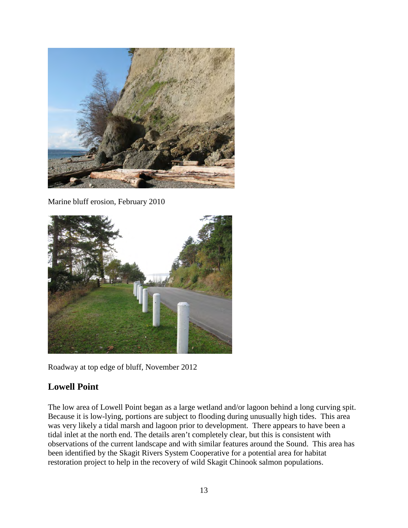

Marine bluff erosion, February 2010



Roadway at top edge of bluff, November 2012

## **Lowell Point**

The low area of Lowell Point began as a large wetland and/or lagoon behind a long curving spit. Because it is low-lying, portions are subject to flooding during unusually high tides. This area was very likely a tidal marsh and lagoon prior to development. There appears to have been a tidal inlet at the north end. The details aren't completely clear, but this is consistent with observations of the current landscape and with similar features around the Sound. This area has been identified by the Skagit Rivers System Cooperative for a potential area for habitat restoration project to help in the recovery of wild Skagit Chinook salmon populations.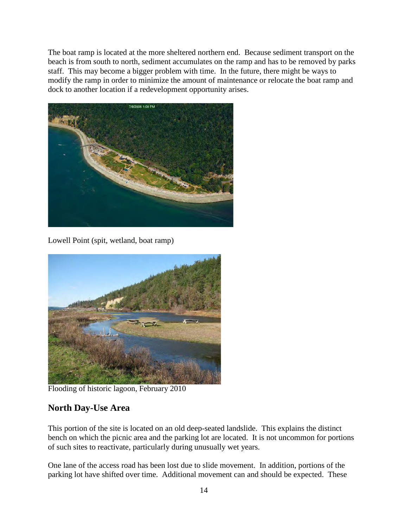The boat ramp is located at the more sheltered northern end. Because sediment transport on the beach is from south to north, sediment accumulates on the ramp and has to be removed by parks staff. This may become a bigger problem with time. In the future, there might be ways to modify the ramp in order to minimize the amount of maintenance or relocate the boat ramp and dock to another location if a redevelopment opportunity arises.



Lowell Point (spit, wetland, boat ramp)



Flooding of historic lagoon, February 2010

## **North Day-Use Area**

This portion of the site is located on an old deep-seated landslide. This explains the distinct bench on which the picnic area and the parking lot are located. It is not uncommon for portions of such sites to reactivate, particularly during unusually wet years.

One lane of the access road has been lost due to slide movement. In addition, portions of the parking lot have shifted over time. Additional movement can and should be expected. These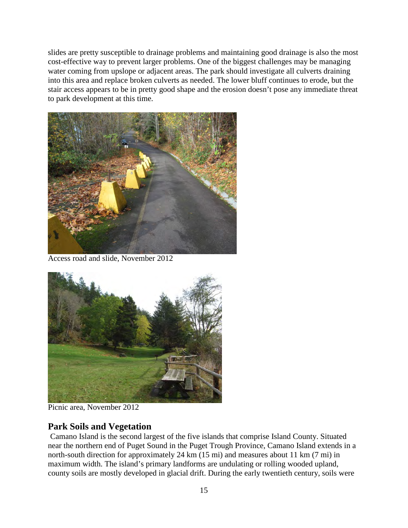slides are pretty susceptible to drainage problems and maintaining good drainage is also the most cost-effective way to prevent larger problems. One of the biggest challenges may be managing water coming from upslope or adjacent areas. The park should investigate all culverts draining into this area and replace broken culverts as needed. The lower bluff continues to erode, but the stair access appears to be in pretty good shape and the erosion doesn't pose any immediate threat to park development at this time.



Access road and slide, November 2012



Picnic area, November 2012

## **Park Soils and Vegetation**

Camano Island is the second largest of the five islands that comprise Island County. Situated near the northern end of Puget Sound in the Puget Trough Province, Camano Island extends in a north-south direction for approximately 24 km (15 mi) and measures about 11 km (7 mi) in maximum width. The island's primary landforms are undulating or rolling wooded upland, county soils are mostly developed in glacial drift. During the early twentieth century, soils were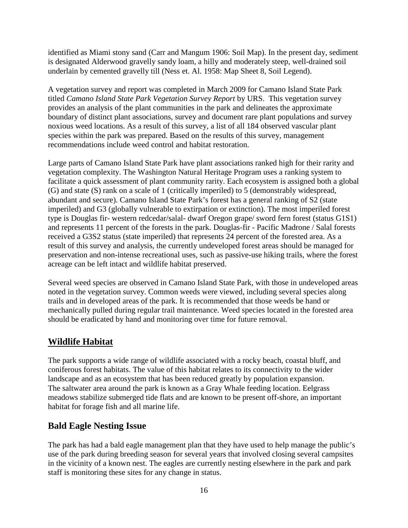identified as Miami stony sand (Carr and Mangum 1906: Soil Map). In the present day, sediment is designated Alderwood gravelly sandy loam, a hilly and moderately steep, well-drained soil underlain by cemented gravelly till (Ness et. Al. 1958: Map Sheet 8, Soil Legend).

A vegetation survey and report was completed in March 2009 for Camano Island State Park titled *Camano Island State Park Vegetation Survey Report* by URS. This vegetation survey provides an analysis of the plant communities in the park and delineates the approximate boundary of distinct plant associations, survey and document rare plant populations and survey noxious weed locations. As a result of this survey, a list of all 184 observed vascular plant species within the park was prepared. Based on the results of this survey, management recommendations include weed control and habitat restoration.

Large parts of Camano Island State Park have plant associations ranked high for their rarity and vegetation complexity. The Washington Natural Heritage Program uses a ranking system to facilitate a quick assessment of plant community rarity. Each ecosystem is assigned both a global (G) and state (S) rank on a scale of 1 (critically imperiled) to 5 (demonstrably widespread, abundant and secure). Camano Island State Park's forest has a general ranking of S2 (state imperiled) and G3 (globally vulnerable to extirpation or extinction). The most imperiled forest type is Douglas fir- western redcedar/salal- dwarf Oregon grape/ sword fern forest (status G1S1) and represents 11 percent of the forests in the park. Douglas-fir - Pacific Madrone / Salal forests received a G3S2 status (state imperiled) that represents 24 percent of the forested area. As a result of this survey and analysis, the currently undeveloped forest areas should be managed for preservation and non-intense recreational uses, such as passive-use hiking trails, where the forest acreage can be left intact and wildlife habitat preserved.

Several weed species are observed in Camano Island State Park, with those in undeveloped areas noted in the vegetation survey. Common weeds were viewed, including several species along trails and in developed areas of the park. It is recommended that those weeds be hand or mechanically pulled during regular trail maintenance. Weed species located in the forested area should be eradicated by hand and monitoring over time for future removal.

## **Wildlife Habitat**

The park supports a wide range of wildlife associated with a rocky beach, coastal bluff, and coniferous forest habitats. The value of this habitat relates to its connectivity to the wider landscape and as an ecosystem that has been reduced greatly by population expansion. The saltwater area around the park is known as a Gray Whale feeding location. Eelgrass meadows stabilize submerged tide flats and are known to be present off-shore, an important habitat for forage fish and all marine life.

## **Bald Eagle Nesting Issue**

The park has had a bald eagle management plan that they have used to help manage the public's use of the park during breeding season for several years that involved closing several campsites in the vicinity of a known nest. The eagles are currently nesting elsewhere in the park and park staff is monitoring these sites for any change in status.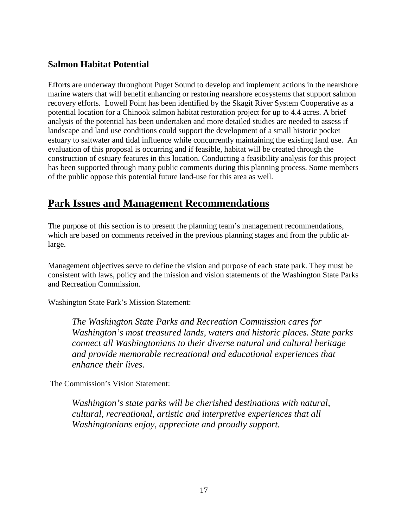## **Salmon Habitat Potential**

Efforts are underway throughout Puget Sound to develop and implement actions in the nearshore marine waters that will benefit enhancing or restoring nearshore ecosystems that support salmon recovery efforts. Lowell Point has been identified by the Skagit River System Cooperative as a potential location for a Chinook salmon habitat restoration project for up to 4.4 acres. A brief analysis of the potential has been undertaken and more detailed studies are needed to assess if landscape and land use conditions could support the development of a small historic pocket estuary to saltwater and tidal influence while concurrently maintaining the existing land use. An evaluation of this proposal is occurring and if feasible, habitat will be created through the construction of estuary features in this location. Conducting a feasibility analysis for this project has been supported through many public comments during this planning process. Some members of the public oppose this potential future land-use for this area as well.

# **Park Issues and Management Recommendations**

The purpose of this section is to present the planning team's management recommendations, which are based on comments received in the previous planning stages and from the public atlarge.

Management objectives serve to define the vision and purpose of each state park. They must be consistent with laws, policy and the mission and vision statements of the Washington State Parks and Recreation Commission.

Washington State Park's Mission Statement:

*The Washington State Parks and Recreation Commission cares for Washington's most treasured lands, waters and historic places. State parks connect all Washingtonians to their diverse natural and cultural heritage and provide memorable recreational and educational experiences that enhance their lives.* 

The Commission's Vision Statement:

*Washington's state parks will be cherished destinations with natural, cultural, recreational, artistic and interpretive experiences that all Washingtonians enjoy, appreciate and proudly support.*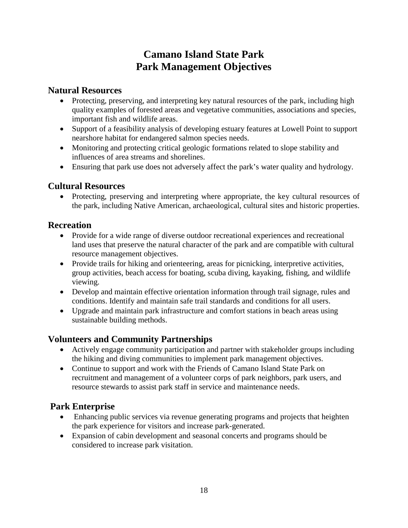# **Camano Island State Park Park Management Objectives**

### **Natural Resources**

- Protecting, preserving, and interpreting key natural resources of the park, including high quality examples of forested areas and vegetative communities, associations and species, important fish and wildlife areas.
- Support of a feasibility analysis of developing estuary features at Lowell Point to support nearshore habitat for endangered salmon species needs.
- Monitoring and protecting critical geologic formations related to slope stability and influences of area streams and shorelines.
- Ensuring that park use does not adversely affect the park's water quality and hydrology.

## **Cultural Resources**

• Protecting, preserving and interpreting where appropriate, the key cultural resources of the park, including Native American, archaeological, cultural sites and historic properties.

## **Recreation**

- Provide for a wide range of diverse outdoor recreational experiences and recreational land uses that preserve the natural character of the park and are compatible with cultural resource management objectives.
- Provide trails for hiking and orienteering, areas for picnicking, interpretive activities, group activities, beach access for boating, scuba diving, kayaking, fishing, and wildlife viewing.
- Develop and maintain effective orientation information through trail signage, rules and conditions. Identify and maintain safe trail standards and conditions for all users.
- Upgrade and maintain park infrastructure and comfort stations in beach areas using sustainable building methods.

## **Volunteers and Community Partnerships**

- Actively engage community participation and partner with stakeholder groups including the hiking and diving communities to implement park management objectives.
- Continue to support and work with the Friends of Camano Island State Park on recruitment and management of a volunteer corps of park neighbors, park users, and resource stewards to assist park staff in service and maintenance needs.

## **Park Enterprise**

- Enhancing public services via revenue generating programs and projects that heighten the park experience for visitors and increase park-generated.
- Expansion of cabin development and seasonal concerts and programs should be considered to increase park visitation.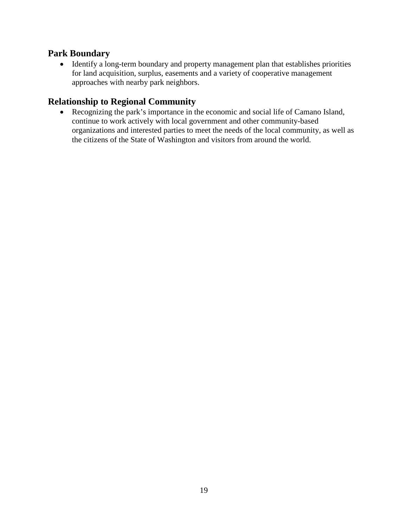#### **Park Boundary**

• Identify a long-term boundary and property management plan that establishes priorities for land acquisition, surplus, easements and a variety of cooperative management approaches with nearby park neighbors.

## **Relationship to Regional Community**

• Recognizing the park's importance in the economic and social life of Camano Island, continue to work actively with local government and other community-based organizations and interested parties to meet the needs of the local community, as well as the citizens of the State of Washington and visitors from around the world.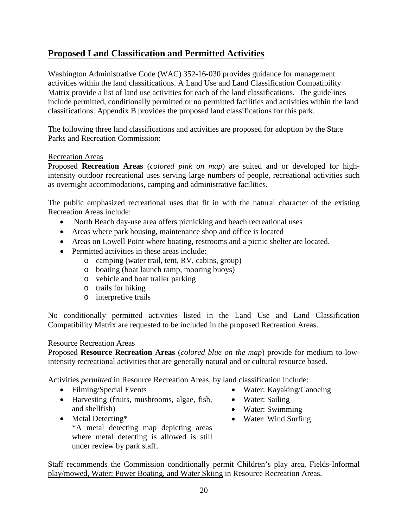## **Proposed Land Classification and Permitted Activities**

Washington Administrative Code (WAC) 352-16-030 provides guidance for management activities within the land classifications. A Land Use and Land Classification Compatibility Matrix provide a list of land use activities for each of the land classifications. The guidelines include permitted, conditionally permitted or no permitted facilities and activities within the land classifications. Appendix B provides the proposed land classifications for this park.

The following three land classifications and activities are proposed for adoption by the State Parks and Recreation Commission:

#### Recreation Areas

Proposed **Recreation Areas** (*colored pink on map*) are suited and or developed for highintensity outdoor recreational uses serving large numbers of people, recreational activities such as overnight accommodations, camping and administrative facilities.

The public emphasized recreational uses that fit in with the natural character of the existing Recreation Areas include:

- North Beach day-use area offers picnicking and beach recreational uses
- Areas where park housing, maintenance shop and office is located
- Areas on Lowell Point where boating, restrooms and a picnic shelter are located.
- Permitted activities in these areas include:
	- o camping (water trail, tent, RV, cabins, group)
	- o boating (boat launch ramp, mooring buoys)
	- o vehicle and boat trailer parking
	- o trails for hiking
	- o interpretive trails

No conditionally permitted activities listed in the Land Use and Land Classification Compatibility Matrix are requested to be included in the proposed Recreation Areas.

#### Resource Recreation Areas

Proposed **Resource Recreation Areas** (*colored blue on the map*) provide for medium to lowintensity recreational activities that are generally natural and or cultural resource based.

Activities *permitted* in Resource Recreation Areas, by land classification include:

- Filming/Special Events
- Harvesting (fruits, mushrooms, algae, fish, and shellfish)
- Water: Kayaking/Canoeing
- Water: Sailing
- Water: Swimming
- Water: Wind Surfing
- Metal Detecting\* \*A metal detecting map depicting areas where metal detecting is allowed is still under review by park staff.

Staff recommends the Commission conditionally permit Children's play area, Fields-Informal play/mowed, Water: Power Boating, and Water Skiing in Resource Recreation Areas.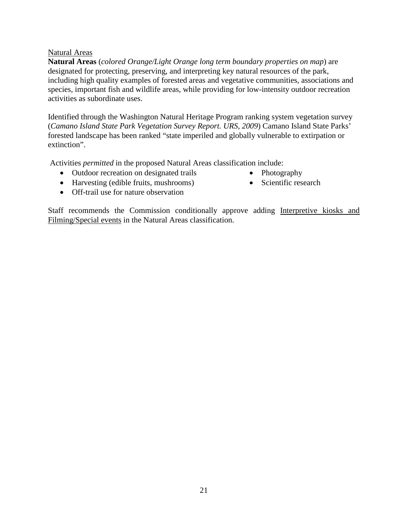#### Natural Areas

**Natural Areas** (*colored Orange/Light Orange long term boundary properties on map*) are designated for protecting, preserving, and interpreting key natural resources of the park, including high quality examples of forested areas and vegetative communities, associations and species, important fish and wildlife areas, while providing for low-intensity outdoor recreation activities as subordinate uses.

Identified through the Washington Natural Heritage Program ranking system vegetation survey (*Camano Island State Park Vegetation Survey Report. URS, 2009*) Camano Island State Parks' forested landscape has been ranked "state imperiled and globally vulnerable to extirpation or extinction".

Activities *permitted* in the proposed Natural Areas classification include:

- Outdoor recreation on designated trails
- Photography
- Harvesting (edible fruits, mushrooms)
- Scientific research

• Off-trail use for nature observation

Staff recommends the Commission conditionally approve adding Interpretive kiosks and Filming/Special events in the Natural Areas classification.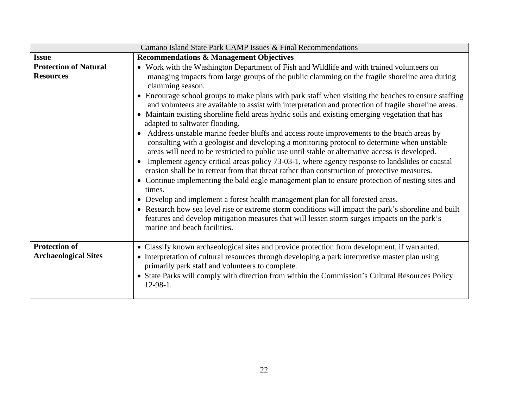| Camano Island State Park CAMP Issues & Final Recommendations |                                                                                                                                                                                                                                                                                             |
|--------------------------------------------------------------|---------------------------------------------------------------------------------------------------------------------------------------------------------------------------------------------------------------------------------------------------------------------------------------------|
| <b>Issue</b>                                                 | <b>Recommendations &amp; Management Objectives</b>                                                                                                                                                                                                                                          |
| <b>Protection of Natural</b>                                 | • Work with the Washington Department of Fish and Wildlife and with trained volunteers on                                                                                                                                                                                                   |
| <b>Resources</b>                                             | managing impacts from large groups of the public clamming on the fragile shoreline area during                                                                                                                                                                                              |
|                                                              | clamming season.                                                                                                                                                                                                                                                                            |
|                                                              | Encourage school groups to make plans with park staff when visiting the beaches to ensure staffing<br>$\bullet$<br>and volunteers are available to assist with interpretation and protection of fragile shoreline areas.                                                                    |
|                                                              | • Maintain existing shoreline field areas hydric soils and existing emerging vegetation that has<br>adapted to saltwater flooding.                                                                                                                                                          |
|                                                              | Address unstable marine feeder bluffs and access route improvements to the beach areas by<br>consulting with a geologist and developing a monitoring protocol to determine when unstable<br>areas will need to be restricted to public use until stable or alternative access is developed. |
|                                                              | Implement agency critical areas policy 73-03-1, where agency response to landslides or coastal<br>erosion shall be to retreat from that threat rather than construction of protective measures.                                                                                             |
|                                                              | • Continue implementing the bald eagle management plan to ensure protection of nesting sites and<br>times.                                                                                                                                                                                  |
|                                                              | • Develop and implement a forest health management plan for all forested areas.                                                                                                                                                                                                             |
|                                                              | • Research how sea level rise or extreme storm conditions will impact the park's shoreline and built                                                                                                                                                                                        |
|                                                              | features and develop mitigation measures that will lessen storm surges impacts on the park's<br>marine and beach facilities.                                                                                                                                                                |
| <b>Protection of</b>                                         | • Classify known archaeological sites and provide protection from development, if warranted.                                                                                                                                                                                                |
| <b>Archaeological Sites</b>                                  | • Interpretation of cultural resources through developing a park interpretive master plan using<br>primarily park staff and volunteers to complete.                                                                                                                                         |
|                                                              | • State Parks will comply with direction from within the Commission's Cultural Resources Policy<br>$12-98-1.$                                                                                                                                                                               |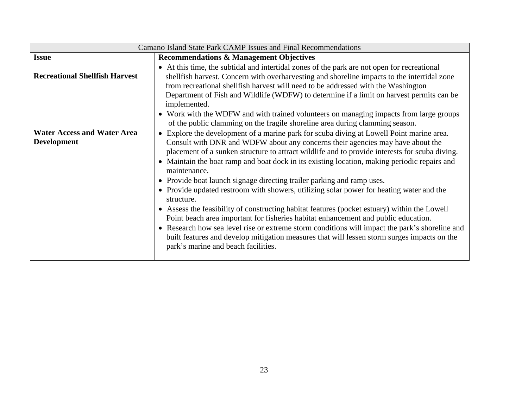| Camano Island State Park CAMP Issues and Final Recommendations |                                                                                                                                                                                                                                                                                                                                                                                                                                                                                                                                                                                                                                                                                                                                                                                                                                                                                                                                                                                                                |
|----------------------------------------------------------------|----------------------------------------------------------------------------------------------------------------------------------------------------------------------------------------------------------------------------------------------------------------------------------------------------------------------------------------------------------------------------------------------------------------------------------------------------------------------------------------------------------------------------------------------------------------------------------------------------------------------------------------------------------------------------------------------------------------------------------------------------------------------------------------------------------------------------------------------------------------------------------------------------------------------------------------------------------------------------------------------------------------|
| <b>Issue</b>                                                   | <b>Recommendations &amp; Management Objectives</b>                                                                                                                                                                                                                                                                                                                                                                                                                                                                                                                                                                                                                                                                                                                                                                                                                                                                                                                                                             |
| <b>Recreational Shellfish Harvest</b>                          | • At this time, the subtidal and intertidal zones of the park are not open for recreational<br>shellfish harvest. Concern with overharvesting and shoreline impacts to the intertidal zone<br>from recreational shellfish harvest will need to be addressed with the Washington<br>Department of Fish and Wildlife (WDFW) to determine if a limit on harvest permits can be<br>implemented.<br>• Work with the WDFW and with trained volunteers on managing impacts from large groups<br>of the public clamming on the fragile shoreline area during clamming season.                                                                                                                                                                                                                                                                                                                                                                                                                                          |
| <b>Water Access and Water Area</b><br><b>Development</b>       | • Explore the development of a marine park for scuba diving at Lowell Point marine area.<br>Consult with DNR and WDFW about any concerns their agencies may have about the<br>placement of a sunken structure to attract wildlife and to provide interests for scuba diving.<br>• Maintain the boat ramp and boat dock in its existing location, making periodic repairs and<br>maintenance.<br>• Provide boat launch signage directing trailer parking and ramp uses.<br>• Provide updated restroom with showers, utilizing solar power for heating water and the<br>structure.<br>• Assess the feasibility of constructing habitat features (pocket estuary) within the Lowell<br>Point beach area important for fisheries habitat enhancement and public education.<br>• Research how sea level rise or extreme storm conditions will impact the park's shoreline and<br>built features and develop mitigation measures that will lessen storm surges impacts on the<br>park's marine and beach facilities. |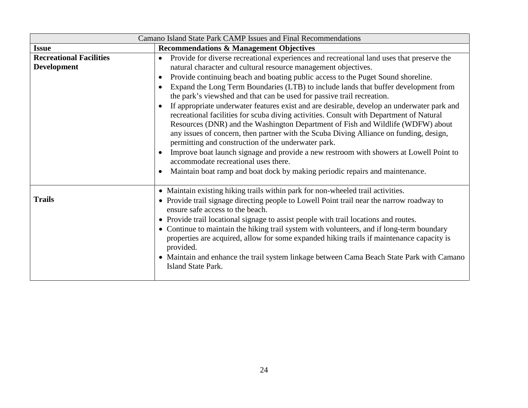| Camano Island State Park CAMP Issues and Final Recommendations |                                                                                                                                                                                                                                                                                                                                                                                                                                                                                                                                                                                                                                                                                                                                                                                                                                                                                                                                                                                                                                                                              |
|----------------------------------------------------------------|------------------------------------------------------------------------------------------------------------------------------------------------------------------------------------------------------------------------------------------------------------------------------------------------------------------------------------------------------------------------------------------------------------------------------------------------------------------------------------------------------------------------------------------------------------------------------------------------------------------------------------------------------------------------------------------------------------------------------------------------------------------------------------------------------------------------------------------------------------------------------------------------------------------------------------------------------------------------------------------------------------------------------------------------------------------------------|
| <b>Issue</b>                                                   | <b>Recommendations &amp; Management Objectives</b>                                                                                                                                                                                                                                                                                                                                                                                                                                                                                                                                                                                                                                                                                                                                                                                                                                                                                                                                                                                                                           |
| <b>Recreational Facilities</b><br><b>Development</b>           | Provide for diverse recreational experiences and recreational land uses that preserve the<br>natural character and cultural resource management objectives.<br>Provide continuing beach and boating public access to the Puget Sound shoreline.<br>$\bullet$<br>Expand the Long Term Boundaries (LTB) to include lands that buffer development from<br>the park's viewshed and that can be used for passive trail recreation.<br>If appropriate underwater features exist and are desirable, develop an underwater park and<br>recreational facilities for scuba diving activities. Consult with Department of Natural<br>Resources (DNR) and the Washington Department of Fish and Wildlife (WDFW) about<br>any issues of concern, then partner with the Scuba Diving Alliance on funding, design,<br>permitting and construction of the underwater park.<br>Improve boat launch signage and provide a new restroom with showers at Lowell Point to<br>accommodate recreational uses there.<br>Maintain boat ramp and boat dock by making periodic repairs and maintenance. |
| <b>Trails</b>                                                  | • Maintain existing hiking trails within park for non-wheeled trail activities.<br>• Provide trail signage directing people to Lowell Point trail near the narrow roadway to<br>ensure safe access to the beach.<br>• Provide trail locational signage to assist people with trail locations and routes.<br>• Continue to maintain the hiking trail system with volunteers, and if long-term boundary<br>properties are acquired, allow for some expanded hiking trails if maintenance capacity is<br>provided.<br>• Maintain and enhance the trail system linkage between Cama Beach State Park with Camano<br><b>Island State Park.</b>                                                                                                                                                                                                                                                                                                                                                                                                                                    |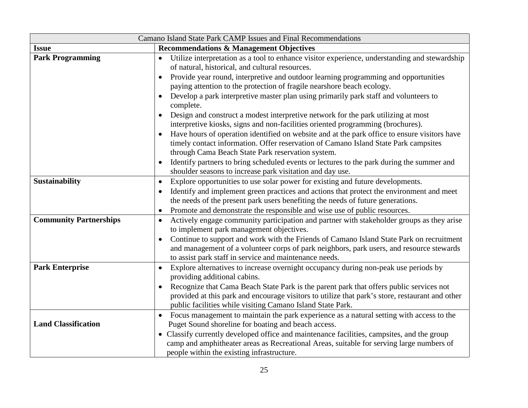| Camano Island State Park CAMP Issues and Final Recommendations |                                                                                                                                                                                                                                                                                                                                                                                                                                                                                                                                                                                                                                                                                                                                                                                                                                                                                                                                         |
|----------------------------------------------------------------|-----------------------------------------------------------------------------------------------------------------------------------------------------------------------------------------------------------------------------------------------------------------------------------------------------------------------------------------------------------------------------------------------------------------------------------------------------------------------------------------------------------------------------------------------------------------------------------------------------------------------------------------------------------------------------------------------------------------------------------------------------------------------------------------------------------------------------------------------------------------------------------------------------------------------------------------|
| <b>Issue</b>                                                   | <b>Recommendations &amp; Management Objectives</b>                                                                                                                                                                                                                                                                                                                                                                                                                                                                                                                                                                                                                                                                                                                                                                                                                                                                                      |
| <b>Park Programming</b>                                        | Utilize interpretation as a tool to enhance visitor experience, understanding and stewardship<br>of natural, historical, and cultural resources.<br>Provide year round, interpretive and outdoor learning programming and opportunities<br>paying attention to the protection of fragile nearshore beach ecology.<br>Develop a park interpretive master plan using primarily park staff and volunteers to<br>complete.<br>Design and construct a modest interpretive network for the park utilizing at most<br>interpretive kiosks, signs and non-facilities oriented programming (brochures).<br>Have hours of operation identified on website and at the park office to ensure visitors have<br>timely contact information. Offer reservation of Camano Island State Park campsites<br>through Cama Beach State Park reservation system.<br>Identify partners to bring scheduled events or lectures to the park during the summer and |
|                                                                | shoulder seasons to increase park visitation and day use.                                                                                                                                                                                                                                                                                                                                                                                                                                                                                                                                                                                                                                                                                                                                                                                                                                                                               |
| <b>Sustainability</b>                                          | Explore opportunities to use solar power for existing and future developments.<br>Identify and implement green practices and actions that protect the environment and meet<br>the needs of the present park users benefiting the needs of future generations.<br>Promote and demonstrate the responsible and wise use of public resources.                                                                                                                                                                                                                                                                                                                                                                                                                                                                                                                                                                                              |
| <b>Community Partnerships</b>                                  | Actively engage community participation and partner with stakeholder groups as they arise<br>to implement park management objectives.<br>Continue to support and work with the Friends of Camano Island State Park on recruitment<br>$\bullet$<br>and management of a volunteer corps of park neighbors, park users, and resource stewards<br>to assist park staff in service and maintenance needs.                                                                                                                                                                                                                                                                                                                                                                                                                                                                                                                                    |
| <b>Park Enterprise</b>                                         | Explore alternatives to increase overnight occupancy during non-peak use periods by<br>$\bullet$<br>providing additional cabins.<br>Recognize that Cama Beach State Park is the parent park that offers public services not<br>provided at this park and encourage visitors to utilize that park's store, restaurant and other<br>public facilities while visiting Camano Island State Park.                                                                                                                                                                                                                                                                                                                                                                                                                                                                                                                                            |
| <b>Land Classification</b>                                     | Focus management to maintain the park experience as a natural setting with access to the<br>$\bullet$<br>Puget Sound shoreline for boating and beach access.<br>• Classify currently developed office and maintenance facilities, campsites, and the group<br>camp and amphitheater areas as Recreational Areas, suitable for serving large numbers of<br>people within the existing infrastructure.                                                                                                                                                                                                                                                                                                                                                                                                                                                                                                                                    |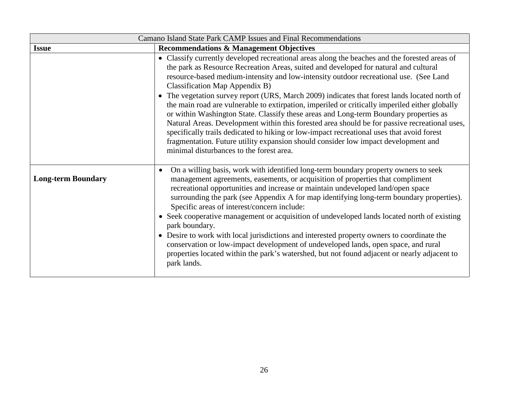| Camano Island State Park CAMP Issues and Final Recommendations |                                                                                                                                                                                                                                                                                                                                                                                                                                                                                                                                                                                                                                                                                                                                                                                                                                                                                                                                              |
|----------------------------------------------------------------|----------------------------------------------------------------------------------------------------------------------------------------------------------------------------------------------------------------------------------------------------------------------------------------------------------------------------------------------------------------------------------------------------------------------------------------------------------------------------------------------------------------------------------------------------------------------------------------------------------------------------------------------------------------------------------------------------------------------------------------------------------------------------------------------------------------------------------------------------------------------------------------------------------------------------------------------|
| <b>Issue</b>                                                   | <b>Recommendations &amp; Management Objectives</b>                                                                                                                                                                                                                                                                                                                                                                                                                                                                                                                                                                                                                                                                                                                                                                                                                                                                                           |
|                                                                | • Classify currently developed recreational areas along the beaches and the forested areas of<br>the park as Resource Recreation Areas, suited and developed for natural and cultural<br>resource-based medium-intensity and low-intensity outdoor recreational use. (See Land<br>Classification Map Appendix B)<br>• The vegetation survey report (URS, March 2009) indicates that forest lands located north of<br>the main road are vulnerable to extirpation, imperiled or critically imperiled either globally<br>or within Washington State. Classify these areas and Long-term Boundary properties as<br>Natural Areas. Development within this forested area should be for passive recreational uses,<br>specifically trails dedicated to hiking or low-impact recreational uses that avoid forest<br>fragmentation. Future utility expansion should consider low impact development and<br>minimal disturbances to the forest area. |
| <b>Long-term Boundary</b>                                      | On a willing basis, work with identified long-term boundary property owners to seek<br>$\bullet$<br>management agreements, easements, or acquisition of properties that compliment<br>recreational opportunities and increase or maintain undeveloped land/open space<br>surrounding the park (see Appendix A for map identifying long-term boundary properties).<br>Specific areas of interest/concern include:<br>• Seek cooperative management or acquisition of undeveloped lands located north of existing<br>park boundary.<br>• Desire to work with local jurisdictions and interested property owners to coordinate the<br>conservation or low-impact development of undeveloped lands, open space, and rural<br>properties located within the park's watershed, but not found adjacent or nearly adjacent to<br>park lands.                                                                                                         |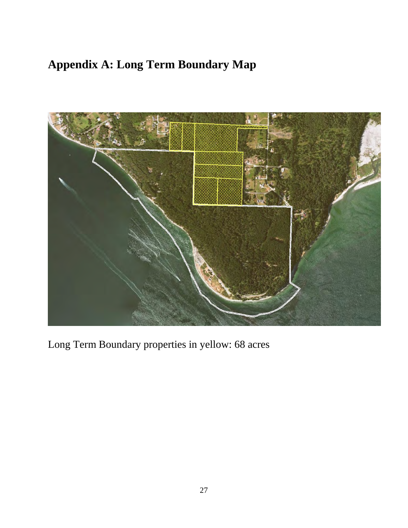# **Appendix A: Long Term Boundary Map**



Long Term Boundary properties in yellow: 68 acres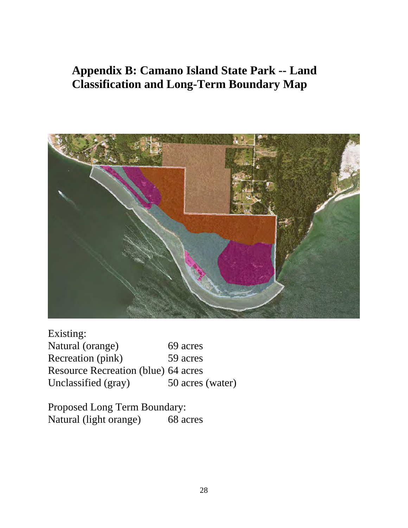# **Appendix B: Camano Island State Park -- Land Classification and Long-Term Boundary Map**



Existing: Natural (orange) 69 acres Recreation (pink) 59 acres Resource Recreation (blue) 64 acres Unclassified (gray) 50 acres (water)

Proposed Long Term Boundary: Natural (light orange) 68 acres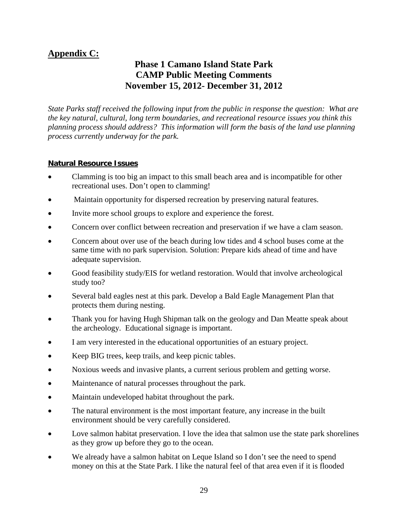## **Appendix C:**

## **Phase 1 Camano Island State Park CAMP Public Meeting Comments November 15, 2012- December 31, 2012**

*State Parks staff received the following input from the public in response the question: What are the key natural, cultural, long term boundaries, and recreational resource issues you think this planning process should address? This information will form the basis of the land use planning process currently underway for the park.* 

#### **Natural Resource Issues**

- Clamming is too big an impact to this small beach area and is incompatible for other recreational uses. Don't open to clamming!
- Maintain opportunity for dispersed recreation by preserving natural features.
- Invite more school groups to explore and experience the forest.
- Concern over conflict between recreation and preservation if we have a clam season.
- Concern about over use of the beach during low tides and 4 school buses come at the same time with no park supervision. Solution: Prepare kids ahead of time and have adequate supervision.
- Good feasibility study/EIS for wetland restoration. Would that involve archeological study too?
- Several bald eagles nest at this park. Develop a Bald Eagle Management Plan that protects them during nesting.
- Thank you for having Hugh Shipman talk on the geology and Dan Meatte speak about the archeology. Educational signage is important.
- I am very interested in the educational opportunities of an estuary project.
- Keep BIG trees, keep trails, and keep picnic tables.
- Noxious weeds and invasive plants, a current serious problem and getting worse.
- Maintenance of natural processes throughout the park.
- Maintain undeveloped habitat throughout the park.
- The natural environment is the most important feature, any increase in the built environment should be very carefully considered.
- Love salmon habitat preservation. I love the idea that salmon use the state park shorelines as they grow up before they go to the ocean.
- We already have a salmon habitat on Leque Island so I don't see the need to spend money on this at the State Park. I like the natural feel of that area even if it is flooded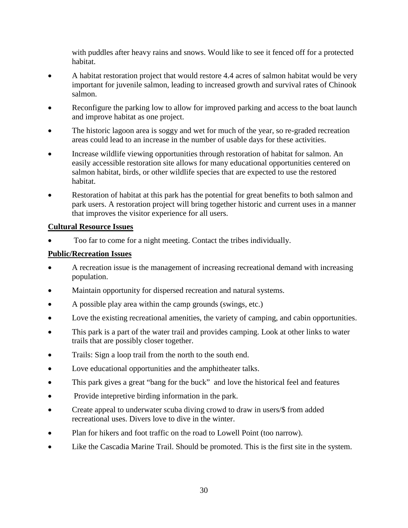with puddles after heavy rains and snows. Would like to see it fenced off for a protected habitat.

- A habitat restoration project that would restore 4.4 acres of salmon habitat would be very important for juvenile salmon, leading to increased growth and survival rates of Chinook salmon.
- Reconfigure the parking low to allow for improved parking and access to the boat launch and improve habitat as one project.
- The historic lagoon area is soggy and wet for much of the year, so re-graded recreation areas could lead to an increase in the number of usable days for these activities.
- Increase wildlife viewing opportunities through restoration of habitat for salmon. An easily accessible restoration site allows for many educational opportunities centered on salmon habitat, birds, or other wildlife species that are expected to use the restored habitat.
- Restoration of habitat at this park has the potential for great benefits to both salmon and park users. A restoration project will bring together historic and current uses in a manner that improves the visitor experience for all users.

#### **Cultural Resource Issues**

• Too far to come for a night meeting. Contact the tribes individually.

#### **Public/Recreation Issues**

- A recreation issue is the management of increasing recreational demand with increasing population.
- Maintain opportunity for dispersed recreation and natural systems.
- A possible play area within the camp grounds (swings, etc.)
- Love the existing recreational amenities, the variety of camping, and cabin opportunities.
- This park is a part of the water trail and provides camping. Look at other links to water trails that are possibly closer together.
- Trails: Sign a loop trail from the north to the south end.
- Love educational opportunities and the amphitheater talks.
- This park gives a great "bang for the buck" and love the historical feel and features
- Provide intepretive birding information in the park.
- Create appeal to underwater scuba diving crowd to draw in users/\$ from added recreational uses. Divers love to dive in the winter.
- Plan for hikers and foot traffic on the road to Lowell Point (too narrow).
- Like the Cascadia Marine Trail. Should be promoted. This is the first site in the system.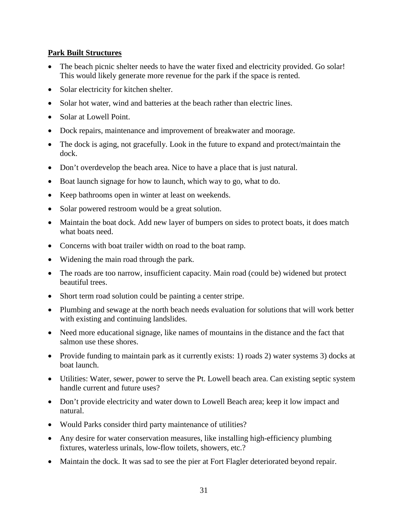#### **Park Built Structures**

- The beach picnic shelter needs to have the water fixed and electricity provided. Go solar! This would likely generate more revenue for the park if the space is rented.
- Solar electricity for kitchen shelter.
- Solar hot water, wind and batteries at the beach rather than electric lines.
- Solar at Lowell Point.
- Dock repairs, maintenance and improvement of breakwater and moorage.
- The dock is aging, not gracefully. Look in the future to expand and protect/maintain the dock.
- Don't overdevelop the beach area. Nice to have a place that is just natural.
- Boat launch signage for how to launch, which way to go, what to do.
- Keep bathrooms open in winter at least on weekends.
- Solar powered restroom would be a great solution.
- Maintain the boat dock. Add new layer of bumpers on sides to protect boats, it does match what boats need.
- Concerns with boat trailer width on road to the boat ramp.
- Widening the main road through the park.
- The roads are too narrow, insufficient capacity. Main road (could be) widened but protect beautiful trees.
- Short term road solution could be painting a center stripe.
- Plumbing and sewage at the north beach needs evaluation for solutions that will work better with existing and continuing landslides.
- Need more educational signage, like names of mountains in the distance and the fact that salmon use these shores.
- Provide funding to maintain park as it currently exists: 1) roads 2) water systems 3) docks at boat launch.
- Utilities: Water, sewer, power to serve the Pt. Lowell beach area. Can existing septic system handle current and future uses?
- Don't provide electricity and water down to Lowell Beach area; keep it low impact and natural.
- Would Parks consider third party maintenance of utilities?
- Any desire for water conservation measures, like installing high-efficiency plumbing fixtures, waterless urinals, low-flow toilets, showers, etc.?
- Maintain the dock. It was sad to see the pier at Fort Flagler deteriorated beyond repair.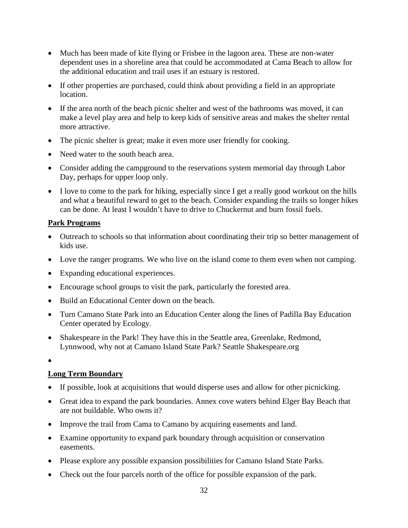- Much has been made of kite flying or Frisbee in the lagoon area. These are non-water dependent uses in a shoreline area that could be accommodated at Cama Beach to allow for the additional education and trail uses if an estuary is restored.
- If other properties are purchased, could think about providing a field in an appropriate location.
- If the area north of the beach picnic shelter and west of the bathrooms was moved, it can make a level play area and help to keep kids of sensitive areas and makes the shelter rental more attractive.
- The picnic shelter is great; make it even more user friendly for cooking.
- Need water to the south beach area.
- Consider adding the campground to the reservations system memorial day through Labor Day, perhaps for upper loop only.
- I love to come to the park for hiking, especially since I get a really good workout on the hills and what a beautiful reward to get to the beach. Consider expanding the trails so longer hikes can be done. At least I wouldn't have to drive to Chuckernut and burn fossil fuels.

#### **Park Programs**

- Outreach to schools so that information about coordinating their trip so better management of kids use.
- Love the ranger programs. We who live on the island come to them even when not camping.
- Expanding educational experiences.
- Encourage school groups to visit the park, particularly the forested area.
- Build an Educational Center down on the beach.
- Turn Camano State Park into an Education Center along the lines of Padilla Bay Education Center operated by Ecology.
- Shakespeare in the Park! They have this in the Seattle area, Greenlake, Redmond, Lynnwood, why not at Camano Island State Park? Seattle Shakespeare.org
- •

#### **Long Term Boundary**

- If possible, look at acquisitions that would disperse uses and allow for other picnicking.
- Great idea to expand the park boundaries. Annex cove waters behind Elger Bay Beach that are not buildable. Who owns it?
- Improve the trail from Cama to Camano by acquiring easements and land.
- Examine opportunity to expand park boundary through acquisition or conservation easements.
- Please explore any possible expansion possibilities for Camano Island State Parks.
- Check out the four parcels north of the office for possible expansion of the park.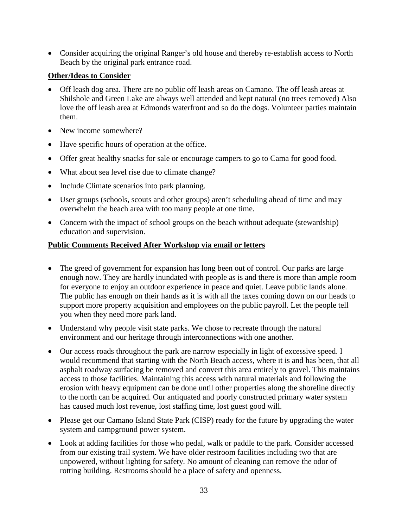• Consider acquiring the original Ranger's old house and thereby re-establish access to North Beach by the original park entrance road.

#### **Other/Ideas to Consider**

- Off leash dog area. There are no public off leash areas on Camano. The off leash areas at Shilshole and Green Lake are always well attended and kept natural (no trees removed) Also love the off leash area at Edmonds waterfront and so do the dogs. Volunteer parties maintain them.
- New income somewhere?
- Have specific hours of operation at the office.
- Offer great healthy snacks for sale or encourage campers to go to Cama for good food.
- What about sea level rise due to climate change?
- Include Climate scenarios into park planning.
- User groups (schools, scouts and other groups) aren't scheduling ahead of time and may overwhelm the beach area with too many people at one time.
- Concern with the impact of school groups on the beach without adequate (stewardship) education and supervision.

#### **Public Comments Received After Workshop via email or letters**

- The greed of government for expansion has long been out of control. Our parks are large enough now. They are hardly inundated with people as is and there is more than ample room for everyone to enjoy an outdoor experience in peace and quiet. Leave public lands alone. The public has enough on their hands as it is with all the taxes coming down on our heads to support more property acquisition and employees on the public payroll. Let the people tell you when they need more park land.
- Understand why people visit state parks. We chose to recreate through the natural environment and our heritage through interconnections with one another.
- Our access roads throughout the park are narrow especially in light of excessive speed. I would recommend that starting with the North Beach access, where it is and has been, that all asphalt roadway surfacing be removed and convert this area entirely to gravel. This maintains access to those facilities. Maintaining this access with natural materials and following the erosion with heavy equipment can be done until other properties along the shoreline directly to the north can be acquired. Our antiquated and poorly constructed primary water system has caused much lost revenue, lost staffing time, lost guest good will.
- Please get our Camano Island State Park (CISP) ready for the future by upgrading the water system and campground power system.
- Look at adding facilities for those who pedal, walk or paddle to the park. Consider accessed from our existing trail system. We have older restroom facilities including two that are unpowered, without lighting for safety. No amount of cleaning can remove the odor of rotting building. Restrooms should be a place of safety and openness.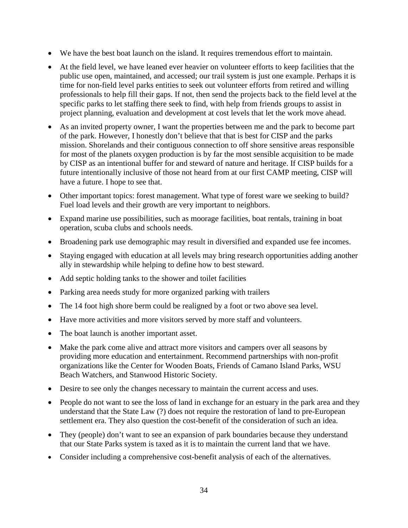- We have the best boat launch on the island. It requires tremendous effort to maintain.
- At the field level, we have leaned ever heavier on volunteer efforts to keep facilities that the public use open, maintained, and accessed; our trail system is just one example. Perhaps it is time for non-field level parks entities to seek out volunteer efforts from retired and willing professionals to help fill their gaps. If not, then send the projects back to the field level at the specific parks to let staffing there seek to find, with help from friends groups to assist in project planning, evaluation and development at cost levels that let the work move ahead.
- As an invited property owner, I want the properties between me and the park to become part of the park. However, I honestly don't believe that that is best for CISP and the parks mission. Shorelands and their contiguous connection to off shore sensitive areas responsible for most of the planets oxygen production is by far the most sensible acquisition to be made by CISP as an intentional buffer for and steward of nature and heritage. If CISP builds for a future intentionally inclusive of those not heard from at our first CAMP meeting, CISP will have a future. I hope to see that.
- Other important topics: forest management. What type of forest ware we seeking to build? Fuel load levels and their growth are very important to neighbors.
- Expand marine use possibilities, such as moorage facilities, boat rentals, training in boat operation, scuba clubs and schools needs.
- Broadening park use demographic may result in diversified and expanded use fee incomes.
- Staying engaged with education at all levels may bring research opportunities adding another ally in stewardship while helping to define how to best steward.
- Add septic holding tanks to the shower and toilet facilities
- Parking area needs study for more organized parking with trailers
- The 14 foot high shore berm could be realigned by a foot or two above sea level.
- Have more activities and more visitors served by more staff and volunteers.
- The boat launch is another important asset.
- Make the park come alive and attract more visitors and campers over all seasons by providing more education and entertainment. Recommend partnerships with non-profit organizations like the Center for Wooden Boats, Friends of Camano Island Parks, WSU Beach Watchers, and Stanwood Historic Society.
- Desire to see only the changes necessary to maintain the current access and uses.
- People do not want to see the loss of land in exchange for an estuary in the park area and they understand that the State Law (?) does not require the restoration of land to pre-European settlement era. They also question the cost-benefit of the consideration of such an idea.
- They (people) don't want to see an expansion of park boundaries because they understand that our State Parks system is taxed as it is to maintain the current land that we have.
- Consider including a comprehensive cost-benefit analysis of each of the alternatives.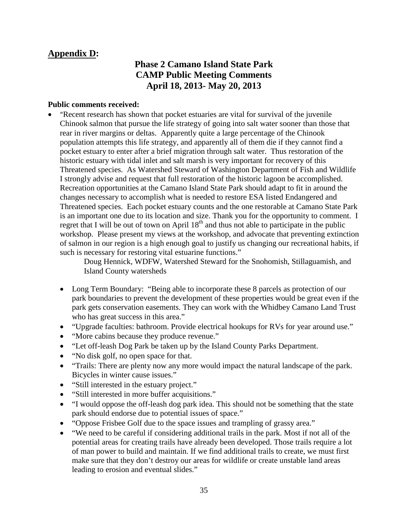## **Appendix D:**

## **Phase 2 Camano Island State Park CAMP Public Meeting Comments April 18, 2013- May 20, 2013**

#### **Public comments received:**

• "Recent research has shown that pocket estuaries are vital for survival of the juvenile Chinook salmon that pursue the life strategy of going into salt water sooner than those that rear in river margins or deltas. Apparently quite a large percentage of the Chinook population attempts this life strategy, and apparently all of them die if they cannot find a pocket estuary to enter after a brief migration through salt water. Thus restoration of the historic estuary with tidal inlet and salt marsh is very important for recovery of this Threatened species. As Watershed Steward of Washington Department of Fish and Wildlife I strongly advise and request that full restoration of the historic lagoon be accomplished. Recreation opportunities at the Camano Island State Park should adapt to fit in around the changes necessary to accomplish what is needed to restore ESA listed Endangered and Threatened species. Each pocket estuary counts and the one restorable at Camano State Park is an important one due to its location and size. Thank you for the opportunity to comment. I regret that I will be out of town on April  $18<sup>th</sup>$  and thus not able to participate in the public workshop. Please present my views at the workshop, and advocate that preventing extinction of salmon in our region is a high enough goal to justify us changing our recreational habits, if such is necessary for restoring vital estuarine functions."

> Doug Hennick, WDFW, Watershed Steward for the Snohomish, Stillaguamish, and Island County watersheds

- Long Term Boundary: "Being able to incorporate these 8 parcels as protection of our park boundaries to prevent the development of these properties would be great even if the park gets conservation easements. They can work with the Whidbey Camano Land Trust who has great success in this area."
- "Upgrade faculties: bathroom. Provide electrical hookups for RVs for year around use."
- "More cabins because they produce revenue."
- "Let off-leash Dog Park be taken up by the Island County Parks Department.
- "No disk golf, no open space for that.
- "Trails: There are plenty now any more would impact the natural landscape of the park. Bicycles in winter cause issues."
- "Still interested in the estuary project."
- "Still interested in more buffer acquisitions."
- "I would oppose the off-leash dog park idea. This should not be something that the state park should endorse due to potential issues of space."
- "Oppose Frisbee Golf due to the space issues and trampling of grassy area."
- "We need to be careful if considering additional trails in the park. Most if not all of the potential areas for creating trails have already been developed. Those trails require a lot of man power to build and maintain. If we find additional trails to create, we must first make sure that they don't destroy our areas for wildlife or create unstable land areas leading to erosion and eventual slides."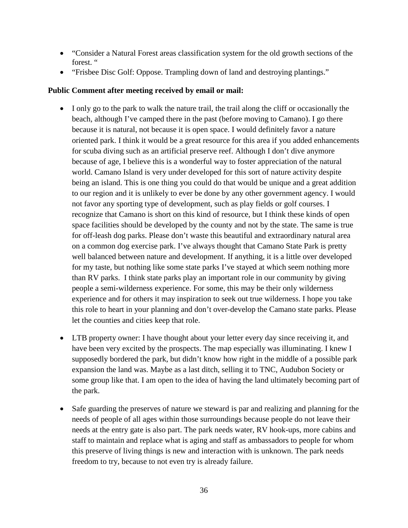- "Consider a Natural Forest areas classification system for the old growth sections of the forest. "
- "Frisbee Disc Golf: Oppose. Trampling down of land and destroying plantings."

#### **Public Comment after meeting received by email or mail:**

- I only go to the park to walk the nature trail, the trail along the cliff or occasionally the beach, although I've camped there in the past (before moving to Camano). I go there because it is natural, not because it is open space. I would definitely favor a nature oriented park. I think it would be a great resource for this area if you added enhancements for scuba diving such as an artificial preserve reef. Although I don't dive anymore because of age, I believe this is a wonderful way to foster appreciation of the natural world. Camano Island is very under developed for this sort of nature activity despite being an island. This is one thing you could do that would be unique and a great addition to our region and it is unlikely to ever be done by any other government agency. I would not favor any sporting type of development, such as play fields or golf courses. I recognize that Camano is short on this kind of resource, but I think these kinds of open space facilities should be developed by the county and not by the state. The same is true for off-leash dog parks. Please don't waste this beautiful and extraordinary natural area on a common dog exercise park. I've always thought that Camano State Park is pretty well balanced between nature and development. If anything, it is a little over developed for my taste, but nothing like some state parks I've stayed at which seem nothing more than RV parks. I think state parks play an important role in our community by giving people a semi-wilderness experience. For some, this may be their only wilderness experience and for others it may inspiration to seek out true wilderness. I hope you take this role to heart in your planning and don't over-develop the Camano state parks. Please let the counties and cities keep that role.
- LTB property owner: I have thought about your letter every day since receiving it, and have been very excited by the prospects. The map especially was illuminating. I knew I supposedly bordered the park, but didn't know how right in the middle of a possible park expansion the land was. Maybe as a last ditch, selling it to TNC, Audubon Society or some group like that. I am open to the idea of having the land ultimately becoming part of the park.
- Safe guarding the preserves of nature we steward is par and realizing and planning for the needs of people of all ages within those surroundings because people do not leave their needs at the entry gate is also part. The park needs water, RV hook-ups, more cabins and staff to maintain and replace what is aging and staff as ambassadors to people for whom this preserve of living things is new and interaction with is unknown. The park needs freedom to try, because to not even try is already failure.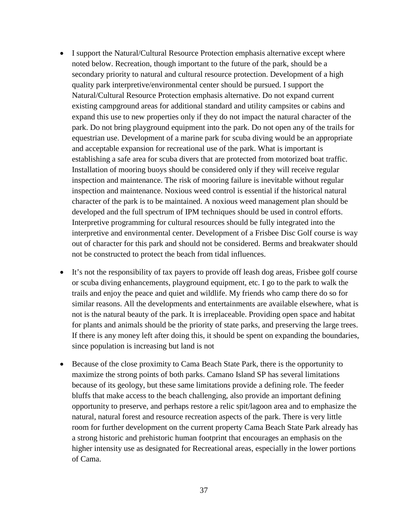- I support the Natural/Cultural Resource Protection emphasis alternative except where noted below. Recreation, though important to the future of the park, should be a secondary priority to natural and cultural resource protection. Development of a high quality park interpretive/environmental center should be pursued. I support the Natural/Cultural Resource Protection emphasis alternative. Do not expand current existing campground areas for additional standard and utility campsites or cabins and expand this use to new properties only if they do not impact the natural character of the park. Do not bring playground equipment into the park. Do not open any of the trails for equestrian use. Development of a marine park for scuba diving would be an appropriate and acceptable expansion for recreational use of the park. What is important is establishing a safe area for scuba divers that are protected from motorized boat traffic. Installation of mooring buoys should be considered only if they will receive regular inspection and maintenance. The risk of mooring failure is inevitable without regular inspection and maintenance. Noxious weed control is essential if the historical natural character of the park is to be maintained. A noxious weed management plan should be developed and the full spectrum of IPM techniques should be used in control efforts. Interpretive programming for cultural resources should be fully integrated into the interpretive and environmental center. Development of a Frisbee Disc Golf course is way out of character for this park and should not be considered. Berms and breakwater should not be constructed to protect the beach from tidal influences.
- It's not the responsibility of tax payers to provide off leash dog areas, Frisbee golf course or scuba diving enhancements, playground equipment, etc. I go to the park to walk the trails and enjoy the peace and quiet and wildlife. My friends who camp there do so for similar reasons. All the developments and entertainments are available elsewhere, what is not is the natural beauty of the park. It is irreplaceable. Providing open space and habitat for plants and animals should be the priority of state parks, and preserving the large trees. If there is any money left after doing this, it should be spent on expanding the boundaries, since population is increasing but land is not
- Because of the close proximity to Cama Beach State Park, there is the opportunity to maximize the strong points of both parks. Camano Island SP has several limitations because of its geology, but these same limitations provide a defining role. The feeder bluffs that make access to the beach challenging, also provide an important defining opportunity to preserve, and perhaps restore a relic spit/lagoon area and to emphasize the natural, natural forest and resource recreation aspects of the park. There is very little room for further development on the current property Cama Beach State Park already has a strong historic and prehistoric human footprint that encourages an emphasis on the higher intensity use as designated for Recreational areas, especially in the lower portions of Cama.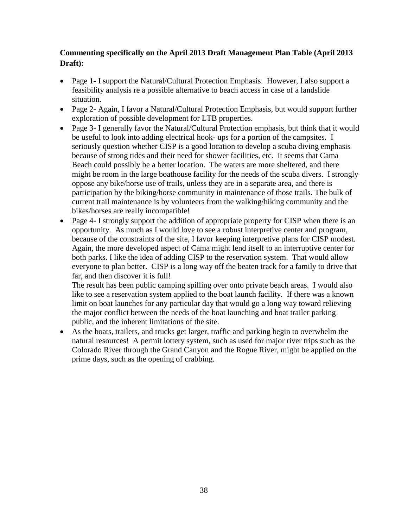#### **Commenting specifically on the April 2013 Draft Management Plan Table (April 2013 Draft):**

- Page 1- I support the Natural/Cultural Protection Emphasis. However, I also support a feasibility analysis re a possible alternative to beach access in case of a landslide situation.
- Page 2- Again, I favor a Natural/Cultural Protection Emphasis, but would support further exploration of possible development for LTB properties.
- Page 3- I generally favor the Natural/Cultural Protection emphasis, but think that it would be useful to look into adding electrical hook- ups for a portion of the campsites. I seriously question whether CISP is a good location to develop a scuba diving emphasis because of strong tides and their need for shower facilities, etc. It seems that Cama Beach could possibly be a better location. The waters are more sheltered, and there might be room in the large boathouse facility for the needs of the scuba divers. I strongly oppose any bike/horse use of trails, unless they are in a separate area, and there is participation by the biking/horse community in maintenance of those trails. The bulk of current trail maintenance is by volunteers from the walking/hiking community and the bikes/horses are really incompatible!
- Page 4- I strongly support the addition of appropriate property for CISP when there is an opportunity. As much as I would love to see a robust interpretive center and program, because of the constraints of the site, I favor keeping interpretive plans for CISP modest. Again, the more developed aspect of Cama might lend itself to an interruptive center for both parks. I like the idea of adding CISP to the reservation system. That would allow everyone to plan better. CISP is a long way off the beaten track for a family to drive that far, and then discover it is full!

The result has been public camping spilling over onto private beach areas. I would also like to see a reservation system applied to the boat launch facility. If there was a known limit on boat launches for any particular day that would go a long way toward relieving the major conflict between the needs of the boat launching and boat trailer parking public, and the inherent limitations of the site.

• As the boats, trailers, and trucks get larger, traffic and parking begin to overwhelm the natural resources! A permit lottery system, such as used for major river trips such as the Colorado River through the Grand Canyon and the Rogue River, might be applied on the prime days, such as the opening of crabbing.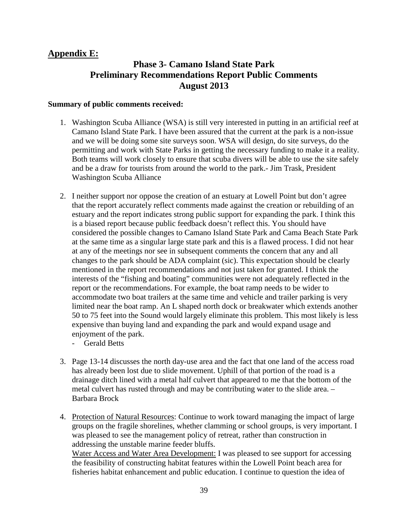## **Appendix E:**

## **Phase 3- Camano Island State Park Preliminary Recommendations Report Public Comments August 2013**

#### **Summary of public comments received:**

- 1. Washington Scuba Alliance (WSA) is still very interested in putting in an artificial reef at Camano Island State Park. I have been assured that the current at the park is a non-issue and we will be doing some site surveys soon. WSA will design, do site surveys, do the permitting and work with State Parks in getting the necessary funding to make it a reality. Both teams will work closely to ensure that scuba divers will be able to use the site safely and be a draw for tourists from around the world to the park.- Jim Trask, President Washington Scuba Alliance
- 2. I neither support nor oppose the creation of an estuary at Lowell Point but don't agree that the report accurately reflect comments made against the creation or rebuilding of an estuary and the report indicates strong public support for expanding the park. I think this is a biased report because public feedback doesn't reflect this. You should have considered the possible changes to Camano Island State Park and Cama Beach State Park at the same time as a singular large state park and this is a flawed process. I did not hear at any of the meetings nor see in subsequent comments the concern that any and all changes to the park should be ADA complaint (sic). This expectation should be clearly mentioned in the report recommendations and not just taken for granted. I think the interests of the "fishing and boating" communities were not adequately reflected in the report or the recommendations. For example, the boat ramp needs to be wider to accommodate two boat trailers at the same time and vehicle and trailer parking is very limited near the boat ramp. An L shaped north dock or breakwater which extends another 50 to 75 feet into the Sound would largely eliminate this problem. This most likely is less expensive than buying land and expanding the park and would expand usage and enjoyment of the park.
	- Gerald Betts
- 3. Page 13-14 discusses the north day-use area and the fact that one land of the access road has already been lost due to slide movement. Uphill of that portion of the road is a drainage ditch lined with a metal half culvert that appeared to me that the bottom of the metal culvert has rusted through and may be contributing water to the slide area. – Barbara Brock
- 4. Protection of Natural Resources: Continue to work toward managing the impact of large groups on the fragile shorelines, whether clamming or school groups, is very important. I was pleased to see the management policy of retreat, rather than construction in addressing the unstable marine feeder bluffs. Water Access and Water Area Development: I was pleased to see support for accessing

the feasibility of constructing habitat features within the Lowell Point beach area for fisheries habitat enhancement and public education. I continue to question the idea of